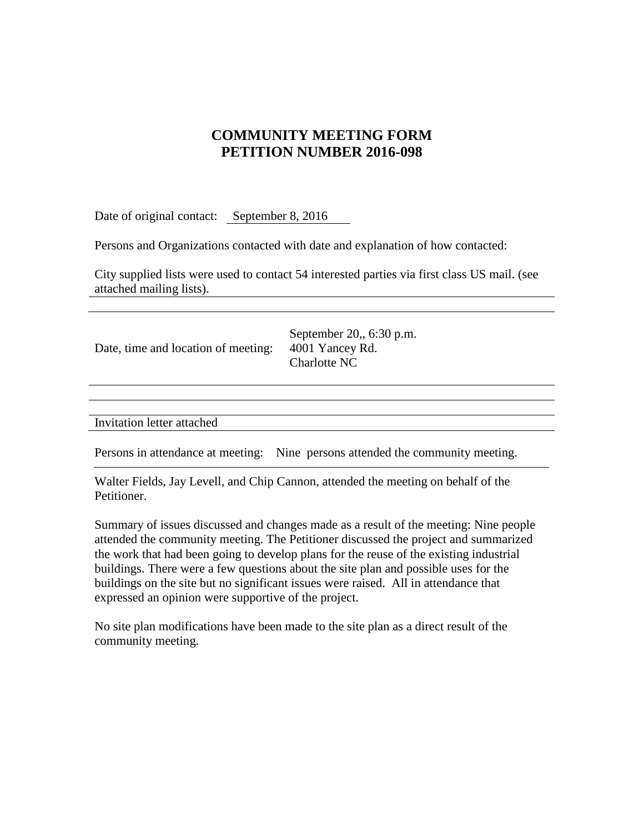## **COMMUNITY MEETING FORM PETITION NUMBER 2016-098**

Date of original contact: September 8, 2016

Persons and Organizations contacted with date and explanation of how contacted:

City supplied lists were used to contact 54 interested parties via first class US mail. (see attached mailing lists).

| Date, time and location of meeting: | September 20,, 6:30 p.m.<br>4001 Yancey Rd.<br>Charlotte NC |
|-------------------------------------|-------------------------------------------------------------|
|                                     |                                                             |

Invitation letter attached

Persons in attendance at meeting: Nine persons attended the community meeting.

Walter Fields, Jay Levell, and Chip Cannon, attended the meeting on behalf of the Petitioner.

Summary of issues discussed and changes made as a result of the meeting: Nine people attended the community meeting. The Petitioner discussed the project and summarized the work that had been going to develop plans for the reuse of the existing industrial buildings. There were a few questions about the site plan and possible uses for the buildings on the site but no significant issues were raised. All in attendance that expressed an opinion were supportive of the project.

No site plan modifications have been made to the site plan as a direct result of the community meeting.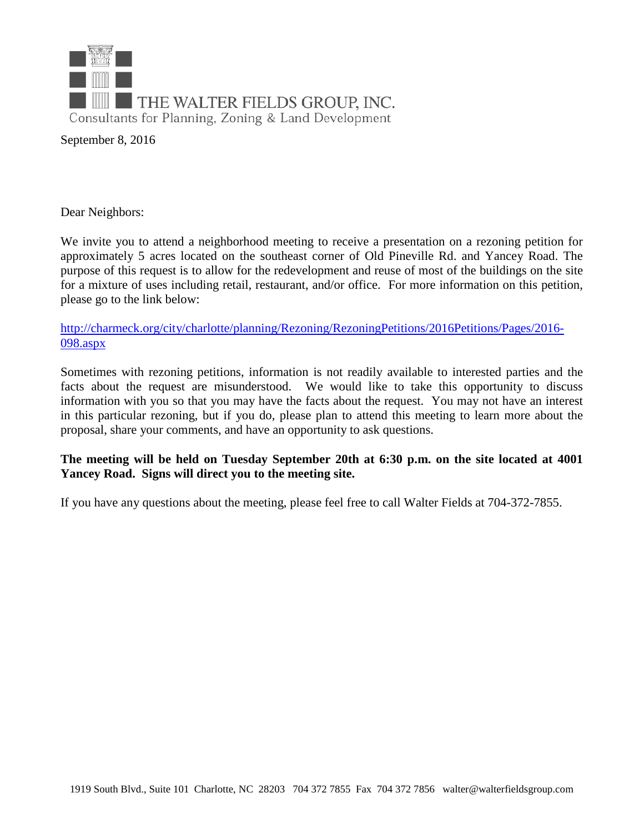

September 8, 2016

Dear Neighbors:

We invite you to attend a neighborhood meeting to receive a presentation on a rezoning petition for approximately 5 acres located on the southeast corner of Old Pineville Rd. and Yancey Road. The purpose of this request is to allow for the redevelopment and reuse of most of the buildings on the site for a mixture of uses including retail, restaurant, and/or office. For more information on this petition, please go to the link below:

[http://charmeck.org/city/charlotte/planning/Rezoning/RezoningPetitions/2016Petitions/Pages/2016-](http://charmeck.org/city/charlotte/planning/Rezoning/RezoningPetitions/2016Petitions/Pages/2016-098.aspx) [098.aspx](http://charmeck.org/city/charlotte/planning/Rezoning/RezoningPetitions/2016Petitions/Pages/2016-098.aspx)

Sometimes with rezoning petitions, information is not readily available to interested parties and the facts about the request are misunderstood. We would like to take this opportunity to discuss information with you so that you may have the facts about the request. You may not have an interest in this particular rezoning, but if you do, please plan to attend this meeting to learn more about the proposal, share your comments, and have an opportunity to ask questions.

## **The meeting will be held on Tuesday September 20th at 6:30 p.m. on the site located at 4001 Yancey Road. Signs will direct you to the meeting site.**

If you have any questions about the meeting, please feel free to call Walter Fields at 704-372-7855.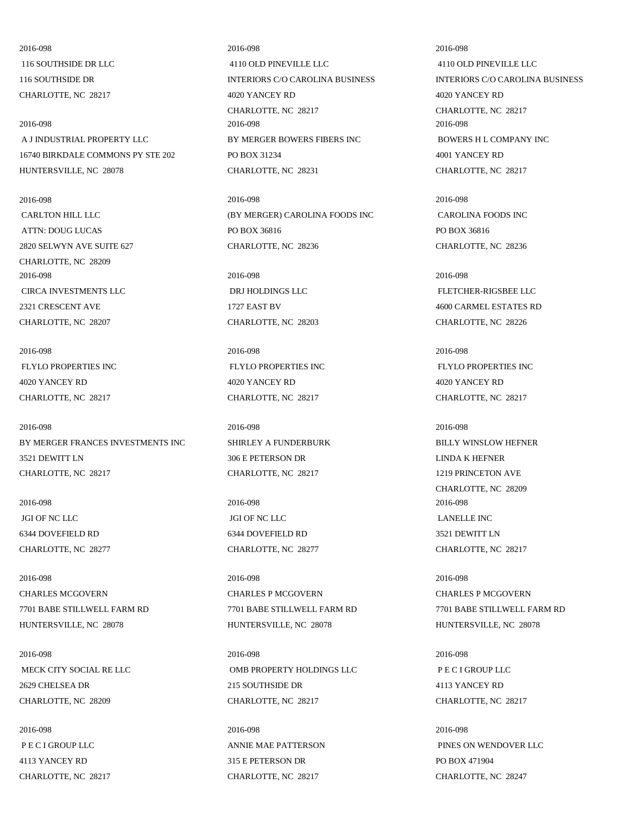## 2016-098

116 SOUTHSIDE DR LLC 116 SOUTHSIDE DR CHARLOTTE, NC 28217

2016-098 A J INDUSTRIAL PROPERTY LLC 16740 BIRKDALE COMMONS PY STE 202 HUNTERSVILLE, NC 28078

2016-098 CARLTON HILL LLC ATTN: DOUG LUCAS 2820 SELWYN AVE SUITE 627 CHARLOTTE, NC 28209 2016-098 CIRCA INVESTMENTS LLC 2321 CRESCENT AVE CHARLOTTE, NC 28207

2016-098 FLYLO PROPERTIES INC 4020 YANCEY RD CHARLOTTE, NC 28217

2016-098 BY MERGER FRANCES INVESTMENTS INC 3521 DEWITT LN CHARLOTTE, NC 28217

2016-098 JGI OF NC LLC 6344 DOVEFIELD RD CHARLOTTE, NC 28277

2016-098 CHARLES MCGOVERN 7701 BABE STILLWELL FARM RD HUNTERSVILLE, NC 28078

2016-098 MECK CITY SOCIAL RE LLC 2629 CHELSEA DR CHARLOTTE, NC 28209

2016-098 P E C I GROUP LLC 4113 YANCEY RD CHARLOTTE, NC 28217

2016-098 4110 OLD PINEVILLE LLC INTERIORS C/O CAROLINA BUSINESS 4020 YANCEY RD CHARLOTTE, NC 28217 2016-098 BY MERGER BOWERS FIBERS INC PO BOX 31234 CHARLOTTE, NC 28231

2016-098 (BY MERGER) CAROLINA FOODS INC PO BOX 36816 CHARLOTTE, NC 28236

2016-098 DRJ HOLDINGS LLC 1727 EAST BV CHARLOTTE, NC 28203

2016-098 FLYLO PROPERTIES INC 4020 YANCEY RD CHARLOTTE, NC 28217

2016-098 SHIRLEY A FUNDERBURK 306 E PETERSON DR CHARLOTTE, NC 28217

2016-098 JGI OF NC LLC 6344 DOVEFIELD RD CHARLOTTE, NC 28277

2016-098 CHARLES P MCGOVERN 7701 BABE STILLWELL FARM RD HUNTERSVILLE, NC 28078

2016-098 OMB PROPERTY HOLDINGS LLC 215 SOUTHSIDE DR CHARLOTTE, NC 28217

2016-098 ANNIE MAE PATTERSON 315 E PETERSON DR CHARLOTTE, NC 28217

2016-098 4110 OLD PINEVILLE LLC INTERIORS C/O CAROLINA BUSINESS 4020 YANCEY RD CHARLOTTE, NC 28217 2016-098 BOWERS H L COMPANY INC 4001 YANCEY RD CHARLOTTE, NC 28217

2016-098 CAROLINA FOODS INC PO BOX 36816 CHARLOTTE, NC 28236

2016-098 FLETCHER-RIGSBEE LLC 4600 CARMEL ESTATES RD CHARLOTTE, NC 28226

2016-098 FLYLO PROPERTIES INC 4020 YANCEY RD CHARLOTTE, NC 28217

2016-098 BILLY WINSLOW HEFNER LINDA K HEFNER 1219 PRINCETON AVE CHARLOTTE, NC 28209 2016-098 LANELLE INC 3521 DEWITT LN CHARLOTTE, NC 28217

2016-098 CHARLES P MCGOVERN 7701 BABE STILLWELL FARM RD HUNTERSVILLE, NC 28078

2016-098 P E C I GROUP LLC 4113 YANCEY RD CHARLOTTE, NC 28217

2016-098 PINES ON WENDOVER LLC PO BOX 471904 CHARLOTTE, NC 28247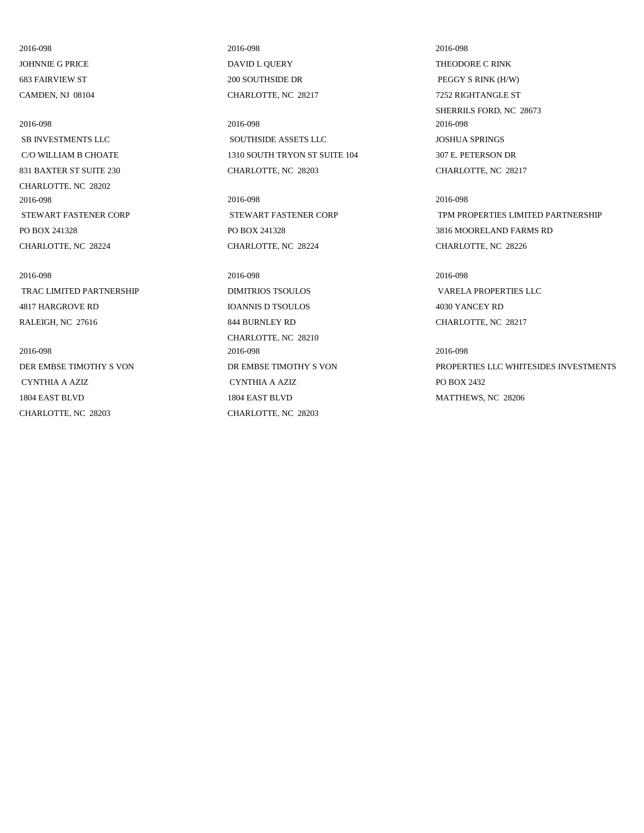2016-098 JOHNNIE G PRICE 683 FAIRVIEW ST CAMDEN, NJ 08104

2016-098 SB INVESTMENTS LLC C/O WILLIAM B CHOATE 831 BAXTER ST SUITE 230 CHARLOTTE, NC 28202 2016-098 STEWART FASTENER CORP PO BOX 241328 CHARLOTTE, NC 28224

2016-098 TRAC LIMITED PARTNERSHIP 4817 HARGROVE RD RALEIGH, NC 27616

2016-098 DER EMBSE TIMOTHY S VON CYNTHIA A AZIZ 1804 EAST BLVD CHARLOTTE, NC 28203

2016-098 DAVID L QUERY 200 SOUTHSIDE DR CHARLOTTE, NC 28217

2016-098 SOUTHSIDE ASSETS LLC 1310 SOUTH TRYON ST SUITE 104 CHARLOTTE, NC 28203

2016-098 STEWART FASTENER CORP PO BOX 241328 CHARLOTTE, NC 28224

2016-098 DIMITRIOS TSOULOS IOANNIS D TSOULOS 844 BURNLEY RD CHARLOTTE, NC 28210 2016-098 DR EMBSE TIMOTHY S VON CYNTHIA A AZIZ 1804 EAST BLVD CHARLOTTE, NC 28203

2016-098 THEODORE C RINK PEGGY S RINK (H/W) 7252 RIGHTANGLE ST SHERRILS FORD, NC 28673 2016-098 JOSHUA SPRINGS 307 E. PETERSON DR CHARLOTTE, NC 28217

2016-098 TPM PROPERTIES LIMITED PARTNERSHIP 3816 MOORELAND FARMS RD CHARLOTTE, NC 28226

2016-098 VARELA PROPERTIES LLC 4030 YANCEY RD CHARLOTTE, NC 28217

2016-098 PROPERTIES LLC WHITESIDES INVESTMENTS PO BOX 2432 MATTHEWS, NC 28206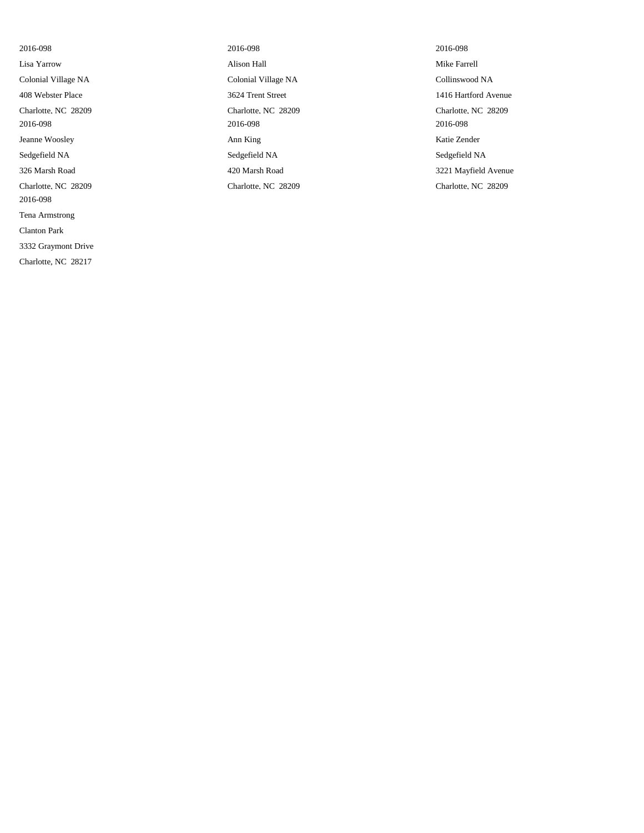2016-098

Lisa Yarrow Colonial Village NA 408 Webster Place Charlotte, NC 28209 2016-098 Jeanne Woosley Sedgefield NA 326 Marsh Road Charlotte, NC 28209 2016-098 Tena Armstrong Clanton Park 3332 Graymont Drive Charlotte, NC 28217

2016-098 Alison Hall Colonial Village NA 3624 Trent Street Charlotte, NC 28209 2016-098 Ann King Sedgefield NA 420 Marsh Road Charlotte, NC 28209 2016-098 Mike Farrell Collinswood NA 1416 Hartford Avenue Charlotte, NC 28209 2016-098 Katie Zender Sedgefield NA 3221 Mayfield Avenue Charlotte, NC 28209